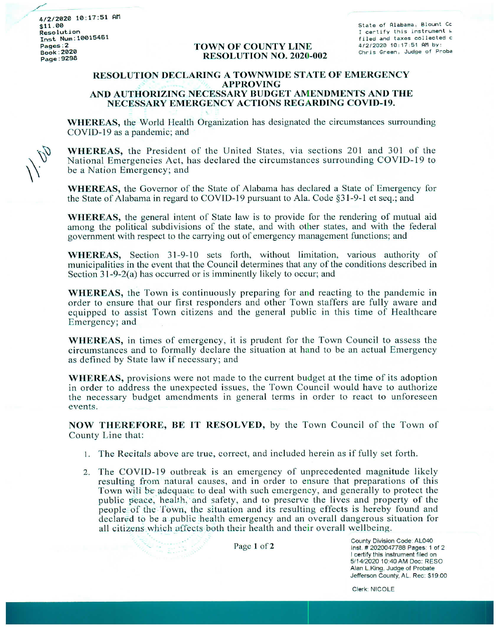4/2/2020 10:17:51 AM  $$11.00$ Resolution **Inst Num:10015461** Pages:2 **Book:2020** Page: 9298

## **TOWN OF COUNTY LINE RESOLUTION NO. 2020-002**

State of Alabama, Blount Cc I certify this instrument w filed and taxes collected c 4/2/2020 10:17:51 AM by: Chris Green, Judge of Proba

## RESOLUTION DECLARING A TOWNWIDE STATE OF EMERGENCY APPROVING AND AUTHORIZING NECESSARY BUDGET AMENDMENTS AND THE NECESSÅRY EMERGENCY ACTIONS REGARDING COVID-19.

WHEREAS, the World Health Organization has designated the circumstances surrounding COVID-19 as a pandemic; and

WHEREAS, the President of the United States, via sections 201 and 301 of the National Emergencies Act, has declared the circumstances surrounding COVID-19 to be a Nation Emergency; and

WHEREAS, the Govemor of the State of Alabama has declared a State of Emergency for the State of Alabama in regard to COVID-19 pursuant to Ala. Code §31-9-1 et seq.; and

WHEREAS, the general intent of State law is to provide for the rendering of mutual aid among the political subdivisions of the state, and with other states, and with the federal govemment with respect to the canying out of emergency management functions; and

WHEREAS, Section 31-9-10 sets forth, without limitation, various authority of municipalities in the event that the Council determines that any of the conditions described in Section  $31-9-2(a)$  has occurred or is imminently likely to occur; and

WHEREAS, the Town is continuously preparing for and reacting to the pandemic in order to ensure that our first responders and other Town staffers are fully aware and equipped to assist Town citizens and the general public in this time of Healthcare Emergency; and

WHEREAS, in times of emergency, it is prudent for the Town Council to assess the circumstances and to formally declare the situation at hand to be an actual Emergency as defined by State law if necessary; and

WHEREAS, provisions were not made to the current budget at the time of its adoption in order to address the unexpected issues, the Town Council would have to authorize the necessary budget amendments in general terms in order to react to unforeseen events.

NOW THEREFORE, BE IT RESOLVED, by the Town Council of the Town of County Line that'

- 1. The Recitals above are true, correct, and included herein as if fully set forth.
- 2. The COVID-19 outbreak is an emergency of unprecedented magnitude likely resulting from natural causes, and in order to ensure that preparations of this Town will be adequate to deal with such emergency, and generally to protect the public geace, health, and safety, and to preserve the lives and property of the people of the Town, the situation and its resulting effects is hereby found and declared to be a public health emergency and an overall dangerous situation for all citizens which affects both their health and their overall wellbeing.

Page 1 of 2 <br>
Page 1 of 2 <br>
Inst. # 2020047788 Pages: 1 of 2 I certify this instrument filed on 5/14/2020 10:40 AM Doc: RESO Alan L.King, Judge of Probate Jefferson County, AL. Rec: \$19.00

Clerk: NICOLE